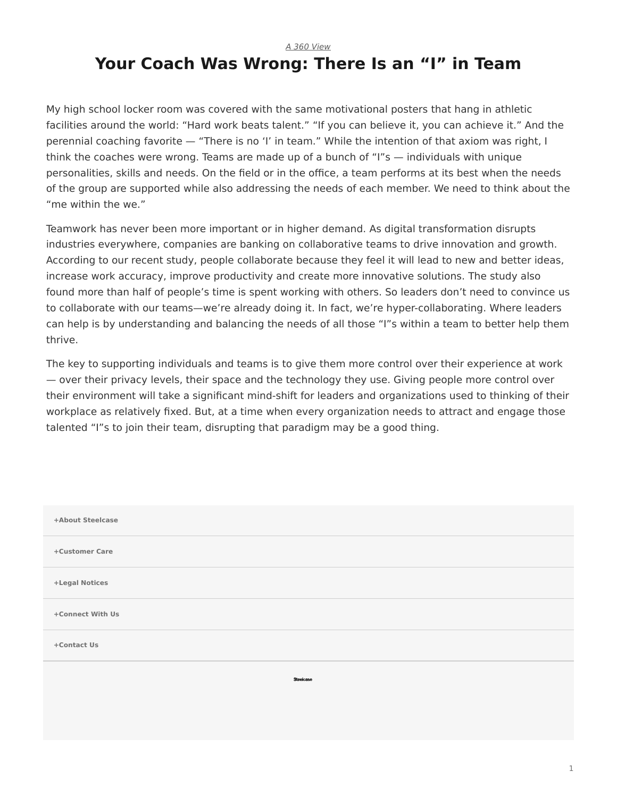*[A 360 View](https://www.steelcase.com/research/topics/a-360-view/)*

## <span id="page-0-0"></span>**Your Coach Was Wrong: There Is an "I" in Team**

My high school locker room was covered with the same motivational posters that hang in athletic facilities around the world: "Hard work beats talent." "If you can believe it, you can achieve it." And the perennial coaching favorite — "There is no 'I' in team." While the intention of that axiom was right, I think the coaches were wrong. Teams are made up of a bunch of "I"s — individuals with unique personalities, skills and needs. On the field or in the office, a team performs at its best when the needs of the group are supported while also addressing the needs of each member. We need to think about the "me within the we."

Teamwork has never been more important or in higher demand. As digital transformation disrupts industries everywhere, companies are banking on collaborative teams to drive innovation and growth. According to our recent study, people collaborate because they feel it will lead to new and better ideas, increase work accuracy, improve productivity and create more innovative solutions. The study also found more than half of people's time is spent working with others. So leaders don't need to convince us to collaborate with our teams—we're already doing it. In fact, we're hyper-collaborating. Where leaders can help is by understanding and balancing the needs of all those "I"s within a team to better help them thrive.

The key to supporting individuals and teams is to give them more control over their experience at work — over their privacy levels, their space and the technology they use. Giving people more control over their environment will take a significant mind-shift for leaders and organizations used to thinking of their workplace as relatively fixed. But, at a time when every organization needs to attract and engage those talented "I"s to join their team, disrupting that paradigm may be a good thing.

| +About Steelcase |  |
|------------------|--|
| +Customer Care   |  |
| +Legal Notices   |  |
| +Connect With Us |  |
| +Contact Us      |  |
| Steelcase        |  |